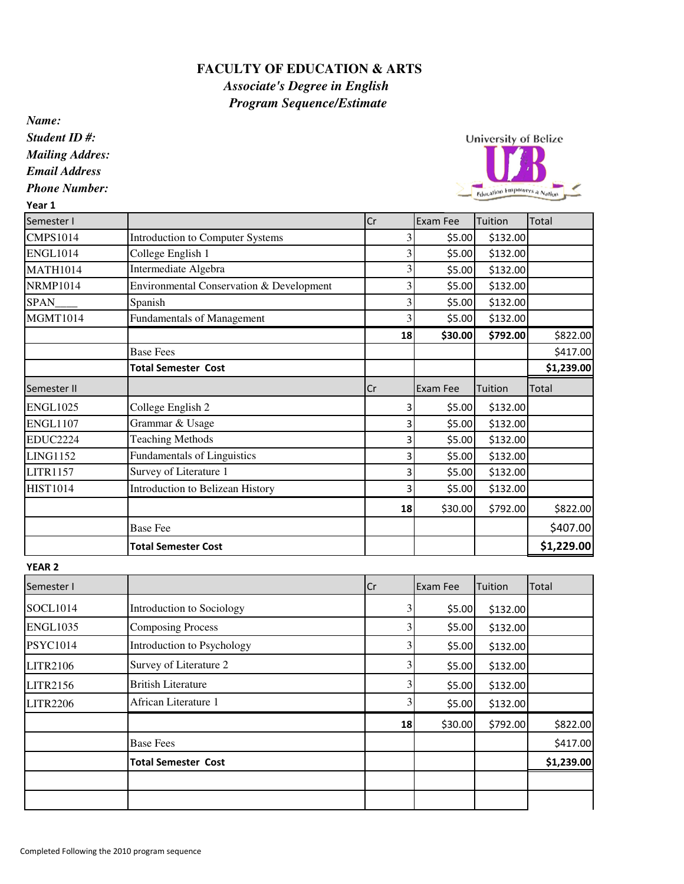## **FACULTY OF EDUCATION & ARTS** *Associate's Degree in English Program Sequence/Estimate*

*Name:*

*Student ID #:*

*Mailing Addres:*

*Email Address*

*Phone Number:* Year 1

**University of Belize** Education Empowers a Nation

| Semester I      |                                          | Cr     | Exam Fee            | Tuition        | Total        |
|-----------------|------------------------------------------|--------|---------------------|----------------|--------------|
| <b>CMPS1014</b> | <b>Introduction to Computer Systems</b>  | 3      | \$5.00              | \$132.00       |              |
| <b>ENGL1014</b> | College English 1                        | 3      | \$5.00              | \$132.00       |              |
| <b>MATH1014</b> | Intermediate Algebra                     | 3      | \$5.00              | \$132.00       |              |
| <b>NRMP1014</b> | Environmental Conservation & Development | 3      | \$5.00              | \$132.00       |              |
| <b>SPAN</b>     | Spanish                                  | 3      | \$5.00              | \$132.00       |              |
| <b>MGMT1014</b> | Fundamentals of Management               | 3      | \$5.00              | \$132.00       |              |
|                 |                                          | 18     | \$30.00             | \$792.00       | \$822.00     |
|                 | <b>Base Fees</b>                         |        |                     |                | \$417.00     |
|                 | <b>Total Semester Cost</b>               |        |                     |                | \$1,239.00   |
| Semester II     |                                          | Cr     | Exam Fee            | Tuition        | <b>Total</b> |
| <b>ENGL1025</b> | College English 2                        | 3      | \$5.00              | \$132.00       |              |
| <b>ENGL1107</b> | Grammar & Usage                          | 3      | \$5.00              | \$132.00       |              |
| <b>EDUC2224</b> | <b>Teaching Methods</b>                  | 3      | \$5.00              | \$132.00       |              |
| <b>LING1152</b> | Fundamentals of Linguistics              | 3      | \$5.00              | \$132.00       |              |
| <b>LITR1157</b> | Survey of Literature 1                   | 3      | \$5.00              | \$132.00       |              |
| <b>HIST1014</b> | Introduction to Belizean History         | 3      | \$5.00              | \$132.00       |              |
|                 |                                          | 18     | \$30.00             | \$792.00       | \$822.00     |
|                 | <b>Base Fee</b>                          |        |                     |                | \$407.00     |
|                 | <b>Total Semester Cost</b>               |        |                     |                | \$1,229.00   |
| <b>YEAR 2</b>   |                                          |        |                     |                |              |
| Semester I      |                                          | Cr     | <b>Exam Fee</b>     | Tuition        | <b>Total</b> |
| 0.0011011       | <b>T</b> . <b>1</b> 0 . 1                | $\sim$ | $\lambda = \lambda$ | $\overline{1}$ |              |

| Semester I      |                            | Cr | Exam Fee | Tuition  | <b>Total</b> |
|-----------------|----------------------------|----|----------|----------|--------------|
| <b>SOCL1014</b> | Introduction to Sociology  |    | \$5.00   | \$132.00 |              |
| <b>ENGL1035</b> | <b>Composing Process</b>   |    | \$5.00   | \$132.00 |              |
| <b>PSYC1014</b> | Introduction to Psychology |    | \$5.00   | \$132.00 |              |
| <b>LITR2106</b> | Survey of Literature 2     |    | \$5.00   | \$132.00 |              |
| <b>LITR2156</b> | <b>British Literature</b>  |    | \$5.00   | \$132.00 |              |
| <b>LITR2206</b> | African Literature 1       |    | \$5.00   | \$132.00 |              |
|                 |                            | 18 | \$30.00  | \$792.00 | \$822.00     |
|                 | <b>Base Fees</b>           |    |          |          | \$417.00     |
|                 | <b>Total Semester Cost</b> |    |          |          | \$1,239.00   |
|                 |                            |    |          |          |              |
|                 |                            |    |          |          |              |